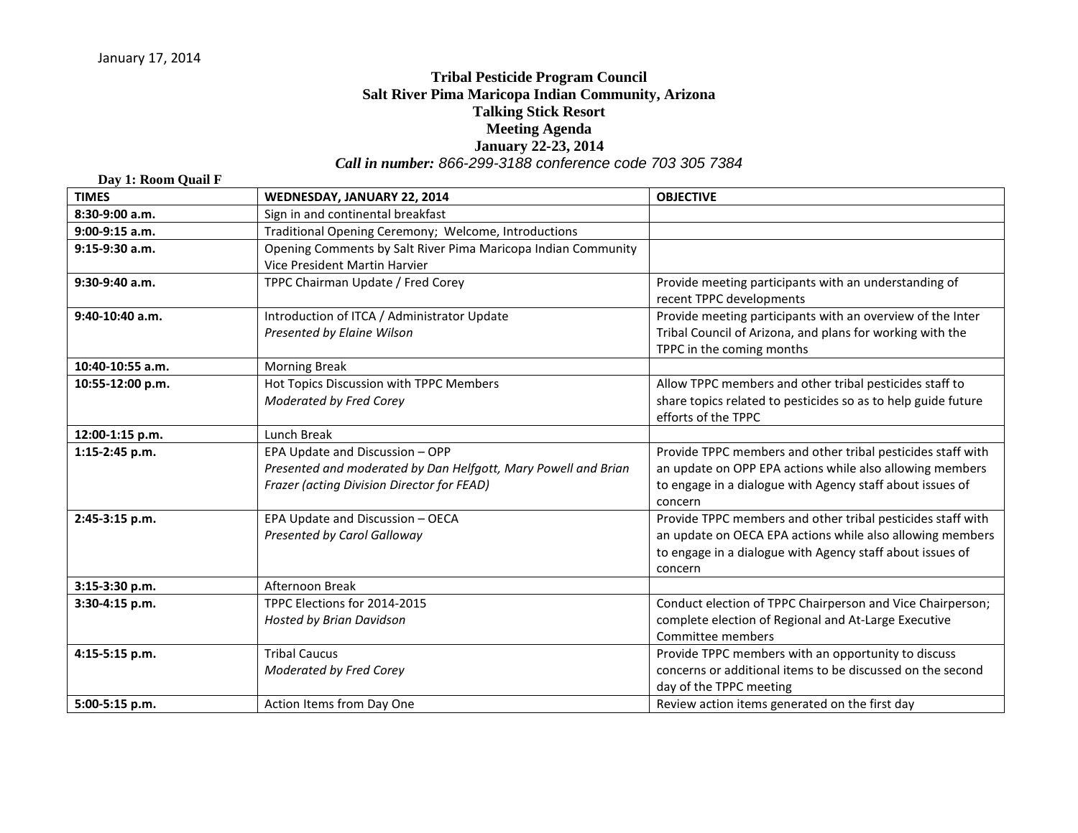## **Tribal Pesticide Program Council Salt River Pima Maricopa Indian Community, Arizona Talking Stick Resort Meeting Agenda January 22-23, 2014** *Call in number: 866-299-3188 conference code 703 305 7384*

## **Day 1: Room Quail F TIMES WEDNESDAY, JANUARY 22, 2014 OBJECTIVE 8:30-9:00 a.m.** Sign in and continental breakfast **9:00-9:15 a.m.** Traditional Opening Ceremony; Welcome, Introductions **9:15-9:30 a.m. Comments by Salt River Pima Maricopa Indian Community** Vice President Martin Harvier **9:30-9:40 a.m.** TPPC Chairman Update / Fred Corey Provide meeting participants with an understanding of recent TPPC developments **9:40-10:40 a.m.** Introduction of ITCA / Administrator Update *Presented by Elaine Wilson* Provide meeting participants with an overview of the Inter Tribal Council of Arizona, and plans for working with the TPPC in the coming months **10:40-10:55 a.m.** Morning Break **10:55-12:00 p.m. Hot Topics Discussion with TPPC Members** *Moderated by Fred Corey* Allow TPPC members and other tribal pesticides staff to share topics related to pesticides so as to help guide future efforts of the TPPC **12:00-1:15 p.m.** Lunch Break **1:15-2:45 p.m. EPA Update and Discussion – OPP** *Presented and moderated by Dan Helfgott, Mary Powell and Brian Frazer (acting Division Director for FEAD)* Provide TPPC members and other tribal pesticides staff with an update on OPP EPA actions while also allowing members to engage in a dialogue with Agency staff about issues of concern **2:45-3:15 p.m. EPA Update and Discussion – OECA** *Presented by Carol Galloway* Provide TPPC members and other tribal pesticides staff with an update on OECA EPA actions while also allowing members to engage in a dialogue with Agency staff about issues of concern **3:15-3:30 p.m.** Afternoon Break **3:30-4:15 p.m.** TPPC Elections for 2014-2015 *Hosted by Brian Davidson* Conduct election of TPPC Chairperson and Vice Chairperson; complete election of Regional and At-Large Executive Committee members **4:15-5:15 p.m.** Tribal Caucus *Moderated by Fred Corey* Provide TPPC members with an opportunity to discuss concerns or additional items to be discussed on the second day of the TPPC meeting **5:00-5:15 p.m.** Action Items from Day One Review action items generated on the first day